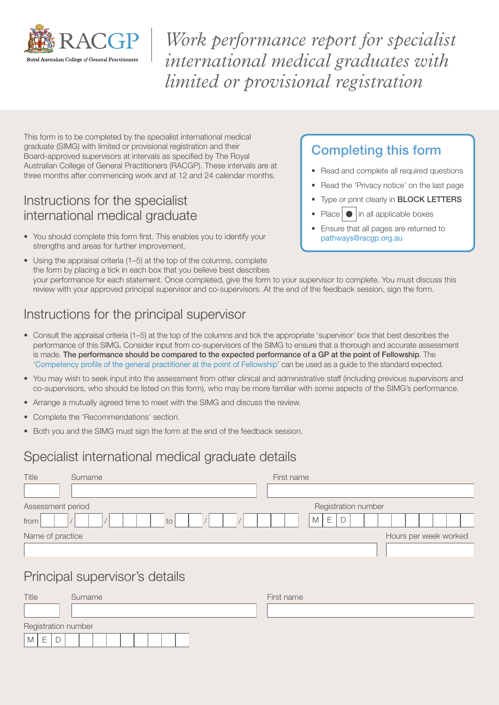

*Work performance report for specialist international medical graduates with limited or provisional registration*

This form is to be completed by the specialist international medical graduate (SIMG) with limited or provisional registration and their Board-approved supervisors at intervals as specified by The Royal Australian College of General Practitioners (RACGP). These intervals are at three months after commencing work and at 12 and 24 calendar months.

### Instructions for the specialist international medical graduate

• You should complete this form first. This enables you to identify your strengths and areas for further improvement.

### Completing this form

- Read and complete all required questions
- Read the 'Privacy notice' on the last page
- Type or print clearly in **BLOCK LETTERS**
- Place  $\bullet$  in all applicable boxes
- Ensure that all pages are returned to [pathways@racgp.org.au](mailto:pathways@racgp.org.au)
- Using the appraisal criteria (1–5) at the top of the columns, complete the form by placing a tick in each box that you believe best describes your performance for each statement. Once completed, give the form to your supervisor to complete. You must discuss this review with your approved principal supervisor and co-supervisors. At the end of the feedback session, sign the form.

# Instructions for the principal supervisor

- Consult the appraisal criteria (1–5) at the top of the columns and tick the appropriate 'supervisor' box that best describes the performance of this SIMG. Consider input from co-supervisors of the SIMG to ensure that a thorough and accurate assessment is made. The performance should be compared to the expected performance of a GP at the point of Fellowship. The '[Competency profile of the general practitioner at the point of Fellowship](https://www.racgp.org.au/download/Documents/VocationalTrain/Competency-Profile.pdf)' can be used as a guide to the standard expected.
- You may wish to seek input into the assessment from other clinical and administrative staff (including previous supervisors and co-supervisors, who should be listed on this form), who may be more familiar with some aspects of the SIMG's performance.
- Arrange a mutually agreed time to meet with the SIMG and discuss the review.
- Complete the 'Recommendations' section.
- Both you and the SIMG must sign the form at the end of the feedback session.

### Specialist international medical graduate details

| Title             | Surname | First name            |  |  |
|-------------------|---------|-----------------------|--|--|
|                   |         |                       |  |  |
| Assessment period |         | Registration number   |  |  |
| from              | to      | E<br>M<br>$\Box$      |  |  |
| Name of practice  |         | Hours per week worked |  |  |
|                   |         |                       |  |  |
|                   | .       |                       |  |  |

### Principal supervisor's details

| Title               | Surname | First name |
|---------------------|---------|------------|
|                     |         |            |
| Registration number |         |            |
| M<br>ー              |         |            |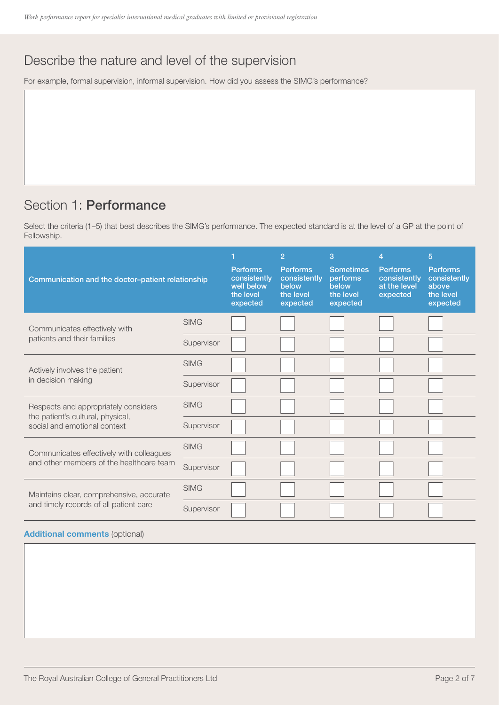# Describe the nature and level of the supervision

For example, formal supervision, informal supervision. How did you assess the SIMG's performance?

## Section 1: Performance

Select the criteria (1–5) that best describes the SIMG's performance. The expected standard is at the level of a GP at the point of Fellowship.

| Communication and the doctor-patient relationship                 |             | <b>Performs</b><br>consistently<br>well below<br>the level<br>expected | $\overline{2}$<br><b>Performs</b><br>consistently<br>below<br>the level<br>expected | 3<br><b>Sometimes</b><br>performs<br>below<br>the level<br>expected | 4<br><b>Performs</b><br>consistently<br>at the level<br>expected | 5<br><b>Performs</b><br>consistently<br>above<br>the level<br>expected |
|-------------------------------------------------------------------|-------------|------------------------------------------------------------------------|-------------------------------------------------------------------------------------|---------------------------------------------------------------------|------------------------------------------------------------------|------------------------------------------------------------------------|
| Communicates effectively with                                     | <b>SIMG</b> |                                                                        |                                                                                     |                                                                     |                                                                  |                                                                        |
| patients and their families                                       | Supervisor  |                                                                        |                                                                                     |                                                                     |                                                                  |                                                                        |
| Actively involves the patient                                     | <b>SIMG</b> |                                                                        |                                                                                     |                                                                     |                                                                  |                                                                        |
| in decision making                                                | Supervisor  |                                                                        |                                                                                     |                                                                     |                                                                  |                                                                        |
| Respects and appropriately considers                              | <b>SIMG</b> |                                                                        |                                                                                     |                                                                     |                                                                  |                                                                        |
| the patient's cultural, physical,<br>social and emotional context | Supervisor  |                                                                        |                                                                                     |                                                                     |                                                                  |                                                                        |
| Communicates effectively with colleagues                          | <b>SIMG</b> |                                                                        |                                                                                     |                                                                     |                                                                  |                                                                        |
| and other members of the healthcare team                          | Supervisor  |                                                                        |                                                                                     |                                                                     |                                                                  |                                                                        |
| Maintains clear, comprehensive, accurate                          | <b>SIMG</b> |                                                                        |                                                                                     |                                                                     |                                                                  |                                                                        |
| and timely records of all patient care                            | Supervisor  |                                                                        |                                                                                     |                                                                     |                                                                  |                                                                        |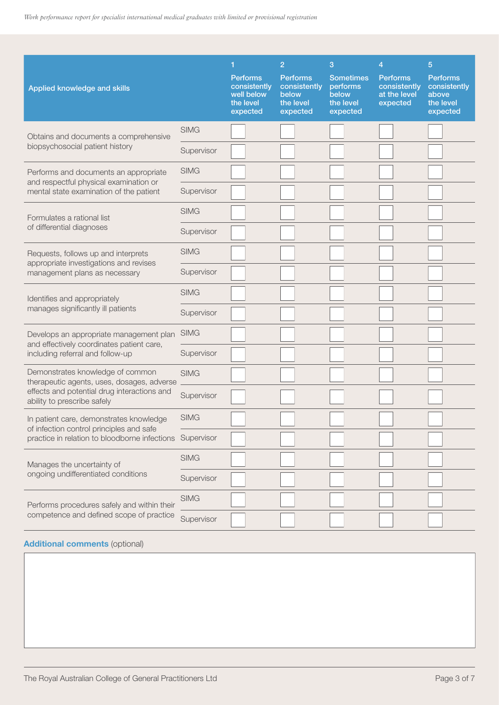| Applied knowledge and skills                                                        |             | 1<br><b>Performs</b><br>consistently<br>well below<br>the level<br>expected | $\overline{2}$<br><b>Performs</b><br>consistently<br>below<br>the level<br>expected | 3<br><b>Sometimes</b><br>performs<br>below<br>the level<br>expected | $\overline{4}$<br><b>Performs</b><br>consistently<br>at the level<br>expected | $\overline{5}$<br><b>Performs</b><br>consistently<br>above<br>the level<br>expected |
|-------------------------------------------------------------------------------------|-------------|-----------------------------------------------------------------------------|-------------------------------------------------------------------------------------|---------------------------------------------------------------------|-------------------------------------------------------------------------------|-------------------------------------------------------------------------------------|
| Obtains and documents a comprehensive                                               | <b>SIMG</b> |                                                                             |                                                                                     |                                                                     |                                                                               |                                                                                     |
| biopsychosocial patient history                                                     | Supervisor  |                                                                             |                                                                                     |                                                                     |                                                                               |                                                                                     |
| Performs and documents an appropriate<br>and respectful physical examination or     | <b>SIMG</b> |                                                                             |                                                                                     |                                                                     |                                                                               |                                                                                     |
| mental state examination of the patient                                             | Supervisor  |                                                                             |                                                                                     |                                                                     |                                                                               |                                                                                     |
| Formulates a rational list                                                          | <b>SIMG</b> |                                                                             |                                                                                     |                                                                     |                                                                               |                                                                                     |
| of differential diagnoses                                                           | Supervisor  |                                                                             |                                                                                     |                                                                     |                                                                               |                                                                                     |
| Requests, follows up and interprets                                                 | <b>SIMG</b> |                                                                             |                                                                                     |                                                                     |                                                                               |                                                                                     |
| appropriate investigations and revises<br>management plans as necessary             | Supervisor  |                                                                             |                                                                                     |                                                                     |                                                                               |                                                                                     |
| Identifies and appropriately                                                        | <b>SIMG</b> |                                                                             |                                                                                     |                                                                     |                                                                               |                                                                                     |
| manages significantly ill patients                                                  | Supervisor  |                                                                             |                                                                                     |                                                                     |                                                                               |                                                                                     |
| Develops an appropriate management plan                                             | <b>SIMG</b> |                                                                             |                                                                                     |                                                                     |                                                                               |                                                                                     |
| and effectively coordinates patient care,<br>including referral and follow-up       | Supervisor  |                                                                             |                                                                                     |                                                                     |                                                                               |                                                                                     |
| Demonstrates knowledge of common<br>therapeutic agents, uses, dosages, adverse      | <b>SIMG</b> |                                                                             |                                                                                     |                                                                     |                                                                               |                                                                                     |
| effects and potential drug interactions and<br>ability to prescribe safely          | Supervisor  |                                                                             |                                                                                     |                                                                     |                                                                               |                                                                                     |
| In patient care, demonstrates knowledge<br>of infection control principles and safe | <b>SIMG</b> |                                                                             |                                                                                     |                                                                     |                                                                               |                                                                                     |
| practice in relation to bloodborne infections                                       | Supervisor  |                                                                             |                                                                                     |                                                                     |                                                                               |                                                                                     |
| Manages the uncertainty of                                                          | <b>SIMG</b> |                                                                             |                                                                                     |                                                                     |                                                                               |                                                                                     |
| ongoing undifferentiated conditions                                                 | Supervisor  |                                                                             |                                                                                     |                                                                     |                                                                               |                                                                                     |
| Performs procedures safely and within their                                         | <b>SIMG</b> |                                                                             |                                                                                     |                                                                     |                                                                               |                                                                                     |
| competence and defined scope of practice                                            | Supervisor  |                                                                             |                                                                                     |                                                                     |                                                                               |                                                                                     |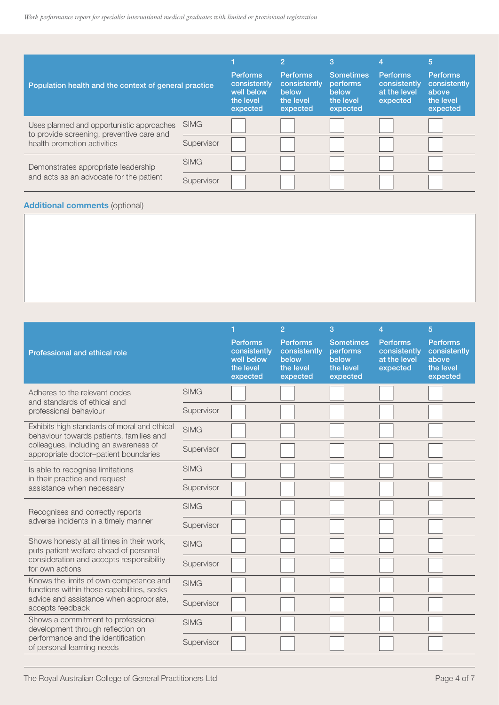| Population health and the context of general practice                                  |             | <b>Performs</b><br>consistently<br>well below<br>the level<br>expected | 2<br><b>Performs</b><br>consistently<br>below<br>the level<br>expected | 3<br><b>Sometimes</b><br><b>performs</b><br>below<br>the level<br>expected | 4<br><b>Performs</b><br>consistently<br>at the level<br>expected | 5<br><b>Performs</b><br>consistently<br>above<br>the level<br>expected |
|----------------------------------------------------------------------------------------|-------------|------------------------------------------------------------------------|------------------------------------------------------------------------|----------------------------------------------------------------------------|------------------------------------------------------------------|------------------------------------------------------------------------|
| Uses planned and opportunistic approaches<br>to provide screening, preventive care and | <b>SIMG</b> |                                                                        |                                                                        |                                                                            |                                                                  |                                                                        |
| health promotion activities                                                            | Supervisor  |                                                                        |                                                                        |                                                                            |                                                                  |                                                                        |
| Demonstrates appropriate leadership                                                    | <b>SIMG</b> |                                                                        |                                                                        |                                                                            |                                                                  |                                                                        |
| and acts as an advocate for the patient                                                | Supervisor  |                                                                        |                                                                        |                                                                            |                                                                  |                                                                        |

|                                                                                          |             |                                                                        | $\overline{2}$                                                    | 3                                                              | $\overline{4}$                                              | 5                                                                 |
|------------------------------------------------------------------------------------------|-------------|------------------------------------------------------------------------|-------------------------------------------------------------------|----------------------------------------------------------------|-------------------------------------------------------------|-------------------------------------------------------------------|
| Professional and ethical role                                                            |             | <b>Performs</b><br>consistently<br>well below<br>the level<br>expected | <b>Performs</b><br>consistently<br>below<br>the level<br>expected | <b>Sometimes</b><br>performs<br>below<br>the level<br>expected | <b>Performs</b><br>consistently<br>at the level<br>expected | <b>Performs</b><br>consistently<br>above<br>the level<br>expected |
| Adheres to the relevant codes<br>and standards of ethical and                            | <b>SIMG</b> |                                                                        |                                                                   |                                                                |                                                             |                                                                   |
| professional behaviour                                                                   | Supervisor  |                                                                        |                                                                   |                                                                |                                                             |                                                                   |
| Exhibits high standards of moral and ethical<br>behaviour towards patients, families and | <b>SIMG</b> |                                                                        |                                                                   |                                                                |                                                             |                                                                   |
| colleagues, including an awareness of<br>appropriate doctor-patient boundaries           | Supervisor  |                                                                        |                                                                   |                                                                |                                                             |                                                                   |
| Is able to recognise limitations<br>in their practice and request                        | <b>SIMG</b> |                                                                        |                                                                   |                                                                |                                                             |                                                                   |
| assistance when necessary                                                                | Supervisor  |                                                                        |                                                                   |                                                                |                                                             |                                                                   |
| Recognises and correctly reports                                                         | <b>SIMG</b> |                                                                        |                                                                   |                                                                |                                                             |                                                                   |
| adverse incidents in a timely manner                                                     | Supervisor  |                                                                        |                                                                   |                                                                |                                                             |                                                                   |
| Shows honesty at all times in their work,<br>puts patient welfare ahead of personal      | <b>SIMG</b> |                                                                        |                                                                   |                                                                |                                                             |                                                                   |
| consideration and accepts responsibility<br>for own actions                              | Supervisor  |                                                                        |                                                                   |                                                                |                                                             |                                                                   |
| Knows the limits of own competence and<br>functions within those capabilities, seeks     | <b>SIMG</b> |                                                                        |                                                                   |                                                                |                                                             |                                                                   |
| advice and assistance when appropriate,<br>accepts feedback                              | Supervisor  |                                                                        |                                                                   |                                                                |                                                             |                                                                   |
| Shows a commitment to professional<br>development through reflection on                  | <b>SIMG</b> |                                                                        |                                                                   |                                                                |                                                             |                                                                   |
| performance and the identification<br>of personal learning needs                         | Supervisor  |                                                                        |                                                                   |                                                                |                                                             |                                                                   |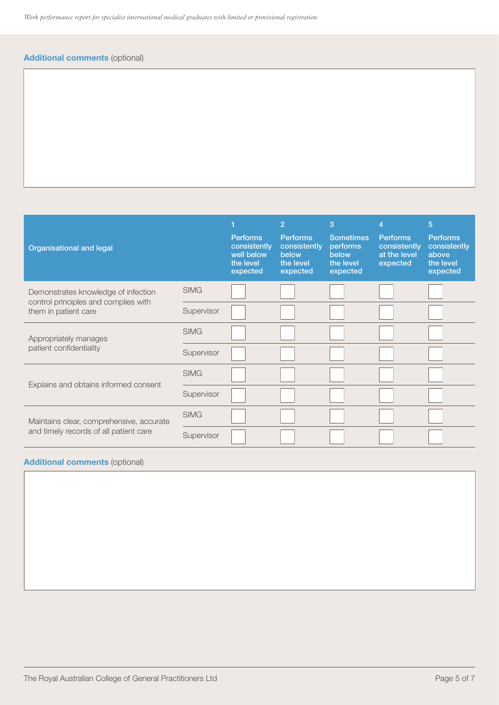### Additional comments (optional)

| <b>Organisational and legal</b>                              |             | <b>Performs</b><br>consistently<br>well below<br>the level<br>expected | $\overline{2}$<br><b>Performs</b><br>consistently<br>below<br>the level<br>expected | 3<br><b>Sometimes</b><br>performs<br>below<br>the level<br>expected | 4<br><b>Performs</b><br>consistently<br>at the level<br>expected | $\overline{5}$<br><b>Performs</b><br>consistently<br>above<br>the level<br>expected |
|--------------------------------------------------------------|-------------|------------------------------------------------------------------------|-------------------------------------------------------------------------------------|---------------------------------------------------------------------|------------------------------------------------------------------|-------------------------------------------------------------------------------------|
| Demonstrates knowledge of infection                          | <b>SIMG</b> |                                                                        |                                                                                     |                                                                     |                                                                  |                                                                                     |
| control principles and complies with<br>them in patient care | Supervisor  |                                                                        |                                                                                     |                                                                     |                                                                  |                                                                                     |
| Appropriately manages                                        | <b>SIMG</b> |                                                                        |                                                                                     |                                                                     |                                                                  |                                                                                     |
| patient confidentiality                                      | Supervisor  |                                                                        |                                                                                     |                                                                     |                                                                  |                                                                                     |
|                                                              | <b>SIMG</b> |                                                                        |                                                                                     |                                                                     |                                                                  |                                                                                     |
| Explains and obtains informed consent                        | Supervisor  |                                                                        |                                                                                     |                                                                     |                                                                  |                                                                                     |
| Maintains clear, comprehensive, accurate                     | <b>SIMG</b> |                                                                        |                                                                                     |                                                                     |                                                                  |                                                                                     |
| and timely records of all patient care                       | Supervisor  |                                                                        |                                                                                     |                                                                     |                                                                  |                                                                                     |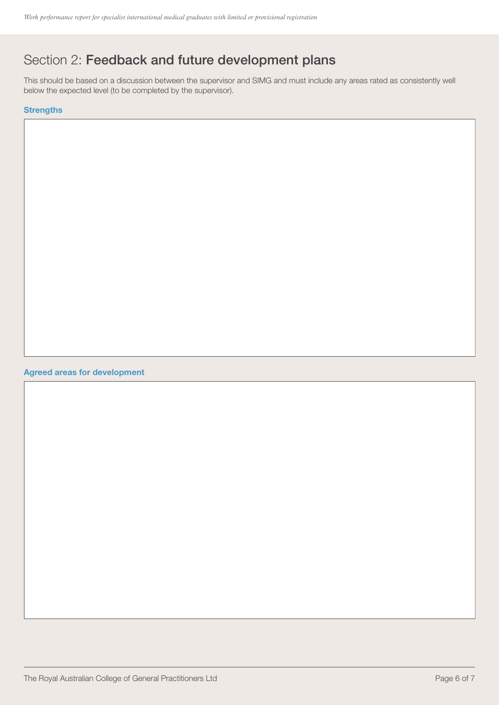# Section 2: Feedback and future development plans

This should be based on a discussion between the supervisor and SIMG and must include any areas rated as consistently well below the expected level (to be completed by the supervisor).

### **Strengths**

#### Agreed areas for development